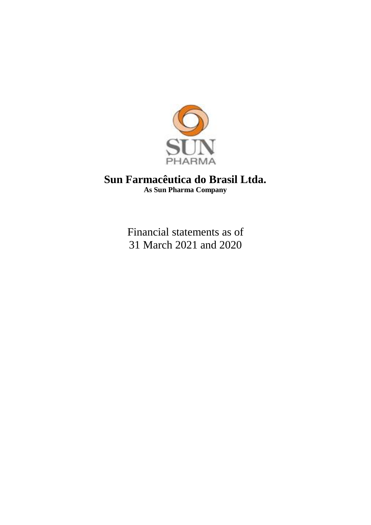

# **Sun Farmacêutica do Brasil Ltda. As Sun Pharma Company**

Financial statements as of 31 March 2021 and 2020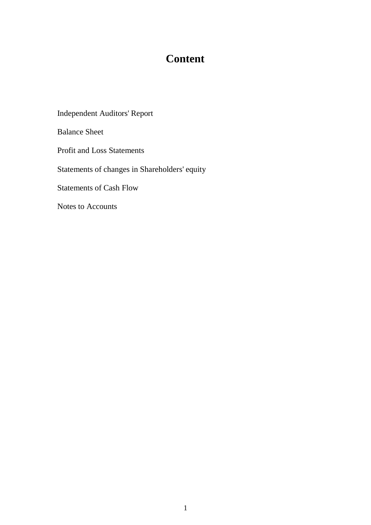# **Content**

Independent Auditors' Report

Balance Sheet

Profit and Loss Statements

Statements of changes in Shareholders' equity

Statements of Cash Flow

Notes to Accounts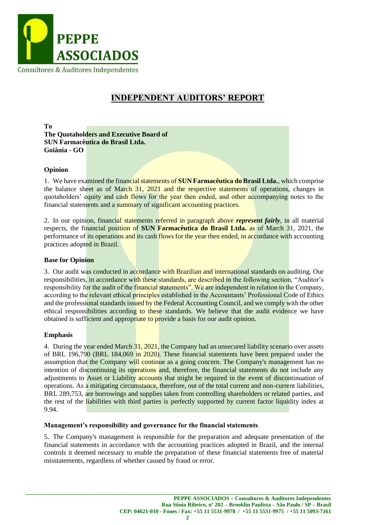

# **INDEPENDENT AUDITORS' REPORT**

**To The Quotaholders and Executive Board of SUN Farmacêutica do Brasil Ltda. Goiânia - GO**

#### **Opinion**

1. We have examined the financial statements of **SUN Farmacêutica do Brasil Ltda.**, which comprise the balance sheet as of March 31, 2021 and the respective statements of operations, changes in quotaholders' equity and cash flows for the year then ended, and other accompanying notes to the financial statements and a summary of significant accounting practices.

2. In our opinion, financial statements referred in paragraph above *represent fairly*, in all material respects, the financial position of **SUN Farmacêutica do Brasil Ltda.** as of March 31, 2021, the performance of its operations and its cash flows for the year then ended, in accordance with accounting practices adopted in Brazil.

#### **Base for Opinion**

3. Our audit was conducted in accordance with Brazilian and international standards on auditing. Our responsibilities, in accordance with these standards, are described in the following section, "Auditor's responsibility for the audit of the financial statements". We are independent in relation to the Company, according to the relevant ethical principles established in the Accountants' Professional Code of Ethics and the professional standards issued by the Federal Accounting Council, and we comply with the other ethical responsibilities according to these standards. We believe that the audit evidence we have obtained is sufficient and appropriate to provide a basis for our audit opinion.

#### **Emphasis**

4. During the year ended March 31, 2021, the Company had an unsecured liability scenario over assets of BRL 196,790 (BRL 184,069 in 2020). These financial statements have been prepared under the assumption that the Company will continue as a going concern. The Company's management has no intention of discontinuing its operations and, therefore, the financial statements do not include any adjustments to Asset or Liability accounts that might be required in the event of discontinuation of operations. As a mitigating circumstance, therefore, out of the total current and non-current liabilities, BRL 289,753, are borrowings and supplies taken from controlling shareholders or related parties, and the rest of the liabilities with third parties is perfectly supported by current factor liquidity index at 9.94.

#### **Management's responsibility and governance for the financial statements**

5. The Company's management is responsible for the preparation and adequate presentation of the financial statements in accordance with the accounting practices adopted in Brazil, and the internal controls it deemed necessary to enable the preparation of these financial statements free of material misstatements, regardless of whether caused by fraud or error.

**\_\_\_\_\_\_\_\_\_\_\_\_\_\_\_\_\_\_\_\_\_\_\_\_\_\_\_\_\_\_\_\_\_\_\_\_\_\_\_\_\_\_\_\_\_\_\_\_\_\_\_\_\_\_\_\_\_\_\_\_\_\_\_\_\_\_\_\_\_\_\_\_\_\_\_\_\_\_\_\_\_\_\_\_\_\_\_\_\_\_\_\_\_\_\_\_\_\_\_\_\_\_\_\_\_\_\_\_\_**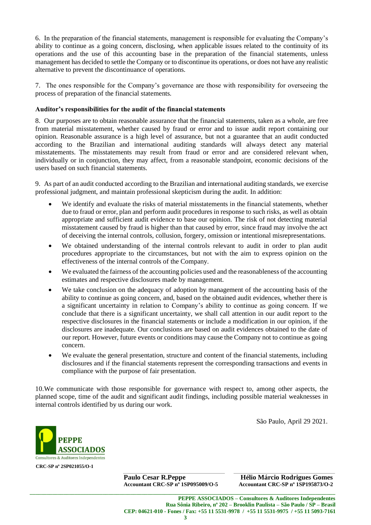6. In the preparation of the financial statements, management is responsible for evaluating the Company's ability to continue as a going concern, disclosing, when applicable issues related to the continuity of its operations and the use of this accounting base in the preparation of the financial statements, unless management has decided to settle the Company or to discontinue its operations, or does not have any realistic alternative to prevent the discontinuance of operations.

7. The ones responsible for the Company's governance are those with responsibility for overseeing the process of preparation of the financial statements.

#### **Auditor's responsibilities for the audit of the financial statements**

8. Our purposes are to obtain reasonable assurance that the financial statements, taken as a whole, are free from material misstatement, whether caused by fraud or error and to issue audit report containing our opinion. Reasonable assurance is a high level of assurance, but not a guarantee that an audit conducted according to the Brazilian and international auditing standards will always detect any material misstatements. The misstatements may result from fraud or error and are considered relevant when, individually or in conjunction, they may affect, from a reasonable standpoint, economic decisions of the users based on such financial statements.

9. As part of an audit conducted according to the Brazilian and international auditing standards, we exercise professional judgment, and maintain professional skepticism during the audit. In addition:

- We identify and evaluate the risks of material misstatements in the financial statements, whether due to fraud or error, plan and perform audit procedures in response to such risks, as well as obtain appropriate and sufficient audit evidence to base our opinion. The risk of not detecting material misstatement caused by fraud is higher than that caused by error, since fraud may involve the act of deceiving the internal controls, collusion, forgery, omission or intentional misrepresentations.
- We obtained understanding of the internal controls relevant to audit in order to plan audit procedures appropriate to the circumstances, but not with the aim to express opinion on the effectiveness of the internal controls of the Company.
- We evaluated the fairness of the accounting policies used and the reasonableness of the accounting estimates and respective disclosures made by management.
- We take conclusion on the adequacy of adoption by management of the accounting basis of the ability to continue as going concern, and, based on the obtained audit evidences, whether there is a significant uncertainty in relation to Company's ability to continue as going concern. If we conclude that there is a significant uncertainty, we shall call attention in our audit report to the respective disclosures in the financial statements or include a modification in our opinion, if the disclosures are inadequate. Our conclusions are based on audit evidences obtained to the date of our report. However, future events or conditions may cause the Company not to continue as going concern.
- We evaluate the general presentation, structure and content of the financial statements, including disclosures and if the financial statements represent the corresponding transactions and events in compliance with the purpose of fair presentation.

10.We communicate with those responsible for governance with respect to, among other aspects, the planned scope, time of the audit and significant audit findings, including possible material weaknesses in internal controls identified by us during our work.

São Paulo, April 29 2021.



**Paulo Cesar R.Peppe Hélio Márcio Rodrigues Gomes Accountant CRC-SP nº 1SP095009/O-5 Accountant CRC-SP nº 1SP195873/O-2**

**\_\_\_\_\_\_\_\_\_\_\_\_\_\_\_\_\_\_\_\_\_\_\_\_\_\_\_\_\_\_\_\_\_\_\_\_\_\_\_\_\_\_\_\_\_\_\_\_\_\_\_\_\_\_\_\_\_\_\_\_\_\_\_\_\_\_\_\_\_\_\_\_\_\_\_\_\_\_\_\_\_\_\_\_\_\_\_\_\_\_\_\_\_\_\_\_\_\_\_\_\_\_\_\_\_\_\_\_\_**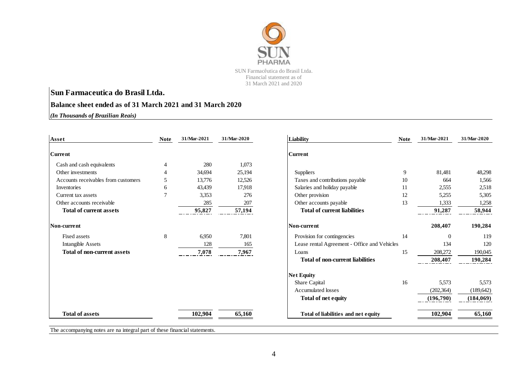

#### **Balance sheet ended as of 31 March 2021 and 31 March 2020**

*(In Thousands of Brazilian Reais)*

| Asset                               | <b>Note</b>    | 31/Mar-2021 | 31/Mar-2020 | <b>Liability</b>                             | <b>Note</b> | 31/Mar-2021 | 31/Mar-2020 |
|-------------------------------------|----------------|-------------|-------------|----------------------------------------------|-------------|-------------|-------------|
| <b>Current</b>                      |                |             |             | <b>Current</b>                               |             |             |             |
| Cash and cash equivalents           |                | 280         | 1,073       |                                              |             |             |             |
| Other investments                   |                | 34,694      | 25,194      | Suppliers                                    | 9           | 81,481      | 48,298      |
| Accounts receivables from customers | 5              | 13,776      | 12,526      | Taxes and contributions payable              | 10          | 664         | 1,566       |
| Inventories                         | 6              | 43,439      | 17,918      | Salaries and holiday payable                 | 11          | 2,555       | 2,518       |
| Current tax assets                  | $\overline{7}$ | 3,353       | 276         | Other provision                              | 12          | 5,255       | 5,305       |
| Other accounts receivable           |                | 285         | 207         | Other accounts payable                       | 13          | 1,333       | 1,258       |
| <b>Total of current assets</b>      |                | 95,827      | 57,194      | <b>Total of current liabilities</b>          |             | 91,287      | 58,944      |
| Non-current                         |                |             |             | Non-current                                  |             | 208,407     | 190,284     |
| Fixed assets                        | 8              | 6,950       | 7,801       | Provision for contingencies                  | 14          | $\Omega$    | 119         |
| Intangible Assets                   |                | 128         | 165         | Lease rental Agreement - Office and Vehicles |             | 134         | 120         |
| <b>Total of non-current assets</b>  |                | 7,078       | 7,967       | Loans                                        | 15          | 208,272     | 190,045     |
|                                     |                |             |             | <b>Total of non-current liabilities</b>      |             | 208,407     | 190,284     |
|                                     |                |             |             | <b>Net Equity</b>                            |             |             |             |
|                                     |                |             |             | Share Capital                                | 16          | 5,573       | 5,573       |
|                                     |                |             |             | <b>Accumulated losses</b>                    |             | (202, 364)  | (189, 642)  |
|                                     |                |             |             | <b>Total of net equity</b>                   |             | (196,790)   | (184,069)   |
| <b>Total of assets</b>              |                | 102,904     | 65,160      | Total of liabilities and net equity          |             | 102,904     | 65,160      |

| Liability                                    | <b>Note</b> | 31/Mar-2021 | 31/Mar-2020 |
|----------------------------------------------|-------------|-------------|-------------|
| Current                                      |             |             |             |
| Suppliers                                    | 9           | 81,481      | 48,298      |
| Taxes and contributions payable              | 10          | 664         | 1,566       |
| Salaries and holiday payable                 | 11          | 2,555       | 2,518       |
| Other provision                              | 12          | 5,255       | 5,305       |
| Other accounts payable                       | 13          | 1,333       | 1,258       |
| <b>Total of current liabilities</b>          |             | 91,287      | 58,944      |
| Non-current                                  |             | 208,407     | 190,284     |
| Provision for contingencies                  | 14          | $\Omega$    | 119         |
| Lease rental Agreement - Office and Vehicles |             | 134         | 120         |
| Loans                                        | 15          | 208,272     | 190,045     |
| <b>Total of non-current liabilities</b>      |             | 208,407     | 190,284     |
| <b>Net Equity</b>                            |             |             |             |
| Share Capital                                | 16          | 5,573       | 5,573       |
| <b>Accumulated losses</b>                    |             | (202, 364)  | (189, 642)  |
| Total of net equity                          |             | (196,790)   | (184, 069)  |
| Total of liabilities and net equity          |             | 102,904     | 65,160      |

The accompanying notes are na integral part of these financial statements.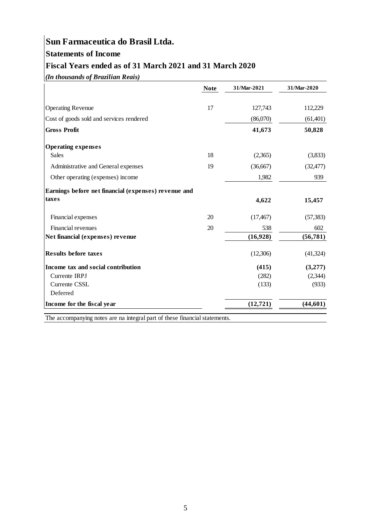# **Statements of Income**

## **Fiscal Years ended as of 31 March 2021 and 31 March 2020**

*(In thousands of Brazilian Reais)*

|                                                      | <b>Note</b> | 31/Mar-2021 | 31/Mar-2020 |
|------------------------------------------------------|-------------|-------------|-------------|
| <b>Operating Revenue</b>                             | 17          | 127,743     | 112,229     |
| Cost of goods sold and services rendered             |             | (86,070)    | (61,401)    |
| <b>Gross Profit</b>                                  |             | 41,673      | 50,828      |
| <b>Operating expenses</b>                            |             |             |             |
| <b>Sales</b>                                         | 18          | (2,365)     | (3,833)     |
| Administrative and General expenses                  | 19          | (36,667)    | (32, 477)   |
| Other operating (expenses) income                    |             | 1,982       | 939         |
| Earnings before net financial (expenses) revenue and |             |             |             |
| taxes                                                |             | 4,622       | 15,457      |
| Financial expenses                                   | 20          | (17, 467)   | (57, 383)   |
| Financial revenues                                   | 20          | 538         | 602         |
| Net financial (expenses) revenue                     |             | (16,928)    | (56, 781)   |
| <b>Results before taxes</b>                          |             | (12,306)    | (41, 324)   |
| Income tax and social contribution                   |             | (415)       | (3,277)     |
| Currente IRPJ                                        |             | (282)       | (2,344)     |
| Currente CSSL                                        |             | (133)       | (933)       |
| Deferred                                             |             |             |             |
| Income for the fiscal year                           |             | (12, 721)   | (44, 601)   |

The accompanying notes are na integral part of these financial statements.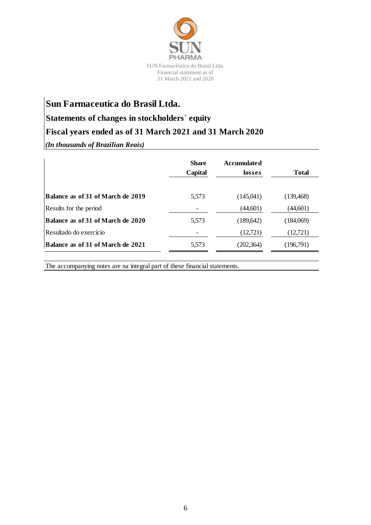

### **Statements of changes in stockholders´ equity**

### **Fiscal years ended as of 31 March 2021 and 31 March 2020**

*(In thousands of Brazilian Reais)*

|                                   | <b>Share</b><br>Capital | <b>Accumulated</b><br>losses | <b>Total</b> |
|-----------------------------------|-------------------------|------------------------------|--------------|
| Balance as of 31 of March de 2019 | 5,573                   | (145,041)                    | (139, 468)   |
| Results for the period            |                         | (44,601)                     | (44,601)     |
| Balance as of 31 of March de 2020 | 5,573                   | (189, 642)                   | (184,069)    |
| Resultado do exercício            |                         | (12,721)                     | (12,721)     |
| Balance as of 31 of March de 2021 | 5,573                   | (202, 364)                   | (196,791)    |

The accompanying notes are na integral part of these financial statements.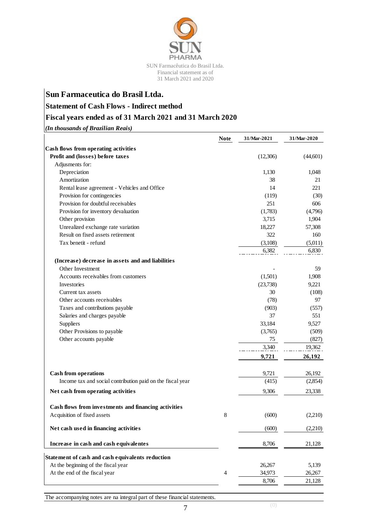

### **Statement of Cash Flows - Indirect method**

### **Fiscal years ended as of 31 March 2021 and 31 March 2020**

*(In thousands of Brazilian Reais)*

|                                                            | <b>Note</b> | 31/Mar-2021 | 31/Mar-2020 |
|------------------------------------------------------------|-------------|-------------|-------------|
| Cash flows from operating activities                       |             |             |             |
| Profit and (losses) before taxes                           |             | (12,306)    | (44,601)    |
| Adjusments for:                                            |             |             |             |
| Depreciation                                               |             | 1,130       | 1,048       |
| Amortization                                               |             | 38          | 21          |
| Rental lease agreement - Vehicles and Office               |             | 14          | 221         |
| Provision for contingencies                                |             | (119)       | (30)        |
| Provision for doubtful receivables                         |             | 251         | 606         |
| Provision for inventory devaluation                        |             | (1,783)     | (4,796)     |
| Other provision                                            |             | 3,715       | 1,904       |
| Unrealized exchange rate variation                         |             | 18,227      | 57,308      |
| Result on fixed assets retirement                          |             | 322         | 160         |
| Tax benetit - refund                                       |             | (3,108)     | (5,011)     |
|                                                            |             | 6,382       | 6,830       |
| (Increase) decrease in assets and and liabilities          |             |             |             |
| Other Investment                                           |             |             | 59          |
| Accounts receivables from customers                        |             | (1,501)     | 1,908       |
| Investories                                                |             | (23,738)    | 9,221       |
| Current tax assets                                         |             | 30          | (108)       |
| Other accounts receivables                                 |             | (78)        | 97          |
| Taxes and contributions payable                            |             | (903)       | (557)       |
| Salaries and charges payable                               |             | 37          | 551         |
| Suppliers                                                  |             | 33,184      | 9,527       |
| Other Provisions to payable                                |             | (3,765)     | (509)       |
| Other accounts payable                                     |             | 75          | (827)       |
|                                                            |             | 3,340       | 19,362      |
|                                                            |             | 9,721       | 26,192      |
|                                                            |             |             |             |
| <b>Cash from operations</b>                                |             | 9,721       | 26,192      |
| Income tax and social contribution paid on the fiscal year |             | (415)       | (2,854)     |
| Net cash from operating activities                         |             | 9,306       | 23,338      |
|                                                            |             |             |             |
| Cash flows from investments and financing activities       |             |             |             |
| Acquisition of fixed assets                                | 8           | (600)       | (2,210)     |
|                                                            |             |             |             |
| Net cash used in financing activities                      |             | (600)       | (2,210)     |
| Increase in cash and cash equivalentes                     |             | 8,706       | 21,128      |
| Statement of cash and cash equivalents reduction           |             |             |             |
| At the beginning of the fiscal year                        |             | 26,267      | 5,139       |
| At the end of the fiscal year                              | 4           | 34,973      | 26,267      |
|                                                            |             | 8,706       | 21,128      |
|                                                            |             |             |             |

The accompanying notes are na integral part of these financial statements.

7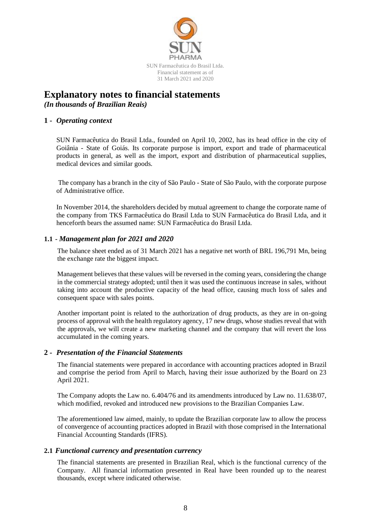

# **Explanatory notes to financial statements**

*(In thousands of Brazilian Reais)*

#### **1 -** *Operating context*

SUN Farmacêutica do Brasil Ltda., founded on April 10, 2002, has its head office in the city of Goiânia - State of Goiás. Its corporate purpose is import, export and trade of pharmaceutical products in general, as well as the import, export and distribution of pharmaceutical supplies, medical devices and similar goods.

The company has a branch in the city of São Paulo - State of São Paulo, with the corporate purpose of Administrative office.

In November 2014, the shareholders decided by mutual agreement to change the corporate name of the company from TKS Farmacêutica do Brasil Ltda to SUN Farmacêutica do Brasil Ltda, and it henceforth bears the assumed name: SUN Farmacêutica do Brasil Ltda.

#### **1.1 -** *Management plan for 2021 and 2020*

The balance sheet ended as of 31 March 2021 has a negative net worth of BRL 196,791 Mn, being the exchange rate the biggest impact.

Management believes that these values will be reversed in the coming years, considering the change in the commercial strategy adopted; until then it was used the continuous increase in sales, without taking into account the productive capacity of the head office, causing much loss of sales and consequent space with sales points.

Another important point is related to the authorization of drug products, as they are in on-going process of approval with the health regulatory agency, 17 new drugs, whose studies reveal that with the approvals, we will create a new marketing channel and the company that will revert the loss accumulated in the coming years.

#### **2 -** *Presentation of the Financial Statements*

The financial statements were prepared in accordance with accounting practices adopted in Brazil and comprise the period from April to March, having their issue authorized by the Board on 23 April 2021.

The Company adopts the Law no. 6.404/76 and its amendments introduced by Law no. 11.638/07, which modified, revoked and introduced new provisions to the Brazilian Companies Law.

The aforementioned law aimed, mainly, to update the Brazilian corporate law to allow the process of convergence of accounting practices adopted in Brazil with those comprised in the International Financial Accounting Standards (IFRS).

#### **2.1** *Functional currency and presentation currency*

The financial statements are presented in Brazilian Real, which is the functional currency of the Company. All financial information presented in Real have been rounded up to the nearest thousands, except where indicated otherwise.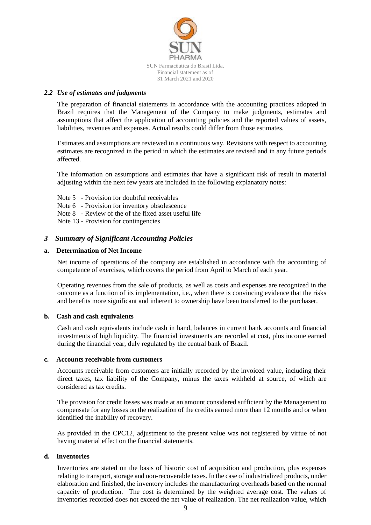

#### *2.2 Use of estimates and judgments*

The preparation of financial statements in accordance with the accounting practices adopted in Brazil requires that the Management of the Company to make judgments, estimates and assumptions that affect the application of accounting policies and the reported values of assets, liabilities, revenues and expenses. Actual results could differ from those estimates.

Estimates and assumptions are reviewed in a continuous way. Revisions with respect to accounting estimates are recognized in the period in which the estimates are revised and in any future periods affected.

The information on assumptions and estimates that have a significant risk of result in material adjusting within the next few years are included in the following explanatory notes:

- Note 5 Provision for doubtful receivables
- Note 6 Provision for inventory obsolescence
- Note 8 Review of the of the fixed asset useful life
- Note 13 Provision for contingencies

#### *3 Summary of Significant Accounting Policies*

#### **a. Determination of Net Income**

Net income of operations of the company are established in accordance with the accounting of competence of exercises, which covers the period from April to March of each year.

Operating revenues from the sale of products, as well as costs and expenses are recognized in the outcome as a function of its implementation, i.e., when there is convincing evidence that the risks and benefits more significant and inherent to ownership have been transferred to the purchaser.

#### **b. Cash and cash equivalents**

Cash and cash equivalents include cash in hand, balances in current bank accounts and financial investments of high liquidity. The financial investments are recorded at cost, plus income earned during the financial year, duly regulated by the central bank of Brazil.

#### **c. Accounts receivable from customers**

Accounts receivable from customers are initially recorded by the invoiced value, including their direct taxes, tax liability of the Company, minus the taxes withheld at source, of which are considered as tax credits.

The provision for credit losses was made at an amount considered sufficient by the Management to compensate for any losses on the realization of the credits earned more than 12 months and or when identified the inability of recovery.

As provided in the CPC12, adjustment to the present value was not registered by virtue of not having material effect on the financial statements.

#### **d. Inventories**

Inventories are stated on the basis of historic cost of acquisition and production, plus expenses relating to transport, storage and non-recoverable taxes. In the case of industrialized products, under elaboration and finished, the inventory includes the manufacturing overheads based on the normal capacity of production. The cost is determined by the weighted average cost. The values of inventories recorded does not exceed the net value of realization. The net realization value, which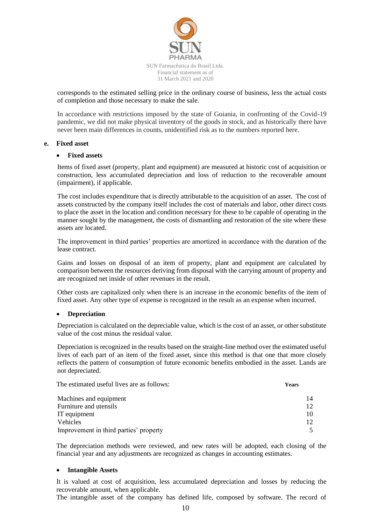

corresponds to the estimated selling price in the ordinary course of business, less the actual costs of completion and those necessary to make the sale.

In accordance with restrictions imposed by the state of Goiania, in confronting of the Covid-19 pandemic, we did not make physical inventory of the goods in stock, and as historically there have never been main differences in counts, unidentified risk as to the numbers reported here.

#### **e. Fixed asset**

#### **Fixed assets**

Items of fixed asset (property, plant and equipment) are measured at historic cost of acquisition or construction, less accumulated depreciation and loss of reduction to the recoverable amount (impairment), if applicable.

The cost includes expenditure that is directly attributable to the acquisition of an asset. The cost of assets constructed by the company itself includes the cost of materials and labor, other direct costs to place the asset in the location and condition necessary for these to be capable of operating in the manner sought by the management, the costs of dismantling and restoration of the site where these assets are located.

The improvement in third parties' properties are amortized in accordance with the duration of the lease contract.

Gains and losses on disposal of an item of property, plant and equipment are calculated by comparison between the resources deriving from disposal with the carrying amount of property and are recognized net inside of other revenues in the result.

Other costs are capitalized only when there is an increase in the economic benefits of the item of fixed asset. Any other type of expense is recognized in the result as an expense when incurred.

#### **Depreciation**

Depreciation is calculated on the depreciable value, which is the cost of an asset, or other substitute value of the cost minus the residual value.

Depreciation is recognized in the results based on the straight-line method over the estimated useful lives of each part of an item of the fixed asset, since this method is that one that more closely reflects the pattern of consumption of future economic benefits embodied in the asset. Lands are not depreciated.

The estimated useful lives are as follows: **Years**

| Machines and equipment                 | 14  |
|----------------------------------------|-----|
| Furniture and utensils                 |     |
| IT equipment                           | 10. |
| Vehicles                               |     |
| Improvement in third parties' property |     |

The depreciation methods were reviewed, and new rates will be adopted, each closing of the financial year and any adjustments are recognized as changes in accounting estimates.

#### **Intangible Assets**

It is valued at cost of acquisition, less accumulated depreciation and losses by reducing the recoverable amount, when applicable.

The intangible asset of the company has defined life, composed by software. The record of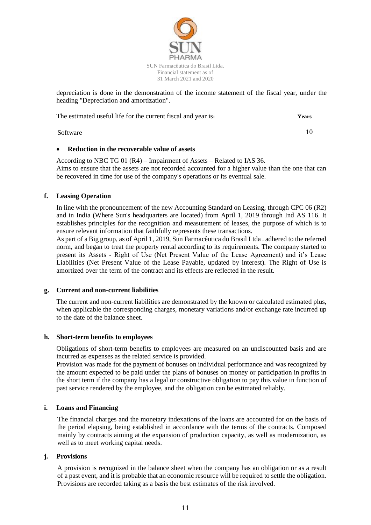

depreciation is done in the demonstration of the income statement of the fiscal year, under the heading "Depreciation and amortization".

The estimated useful life for the current fiscal and year is**: Years**

Software 10

#### **Reduction in the recoverable value of assets**

According to NBC TG 01 (R4) – Impairment of Assets – Related to IAS 36. Aims to ensure that the assets are not recorded accounted for a higher value than the one that can be recovered in time for use of the company's operations or its eventual sale.

#### **f. Leasing Operation**

In line with the pronouncement of the new Accounting Standard on Leasing, through CPC 06 (R2) and in India (Where Sun's headquarters are located) from April 1, 2019 through Ind AS 116. It establishes principles for the recognition and measurement of leases, the purpose of which is to ensure relevant information that faithfully represents these transactions.

As part of a Big group, as of April 1, 2019, Sun Farmacêutica do Brasil Ltda . adhered to the referred norm, and began to treat the property rental according to its requirements. The company started to present its Assets - Right of Use (Net Present Value of the Lease Agreement) and it's Lease Liabilities (Net Present Value of the Lease Payable, updated by interest). The Right of Use is amortized over the term of the contract and its effects are reflected in the result.

#### **g. Current and non-current liabilities**

The current and non-current liabilities are demonstrated by the known or calculated estimated plus, when applicable the corresponding charges, monetary variations and/or exchange rate incurred up to the date of the balance sheet.

#### **h. Short-term benefits to employees**

Obligations of short-term benefits to employees are measured on an undiscounted basis and are incurred as expenses as the related service is provided.

Provision was made for the payment of bonuses on individual performance and was recognized by the amount expected to be paid under the plans of bonuses on money or participation in profits in the short term if the company has a legal or constructive obligation to pay this value in function of past service rendered by the employee, and the obligation can be estimated reliably.

#### **i. Loans and Financing**

The financial charges and the monetary indexations of the loans are accounted for on the basis of the period elapsing, being established in accordance with the terms of the contracts. Composed mainly by contracts aiming at the expansion of production capacity, as well as modernization, as well as to meet working capital needs.

#### **j. Provisions**

A provision is recognized in the balance sheet when the company has an obligation or as a result of a past event, and it is probable that an economic resource will be required to settle the obligation. Provisions are recorded taking as a basis the best estimates of the risk involved.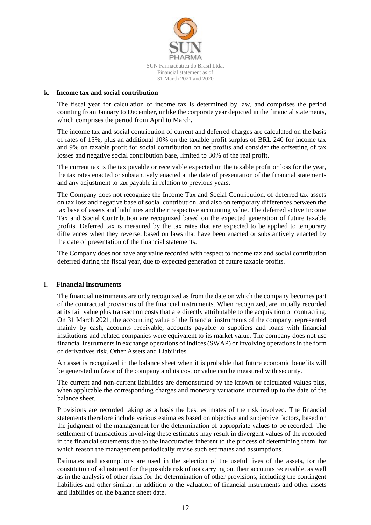

#### **k. Income tax and social contribution**

The fiscal year for calculation of income tax is determined by law, and comprises the period counting from January to December, unlike the corporate year depicted in the financial statements, which comprises the period from April to March.

The income tax and social contribution of current and deferred charges are calculated on the basis of rates of 15%, plus an additional 10% on the taxable profit surplus of BRL 240 for income tax and 9% on taxable profit for social contribution on net profits and consider the offsetting of tax losses and negative social contribution base, limited to 30% of the real profit.

The current tax is the tax payable or receivable expected on the taxable profit or loss for the year, the tax rates enacted or substantively enacted at the date of presentation of the financial statements and any adjustment to tax payable in relation to previous years.

The Company does not recognize the Income Tax and Social Contribution, of deferred tax assets on tax loss and negative base of social contribution, and also on temporary differences between the tax base of assets and liabilities and their respective accounting value. The deferred active Income Tax and Social Contribution are recognized based on the expected generation of future taxable profits. Deferred tax is measured by the tax rates that are expected to be applied to temporary differences when they reverse, based on laws that have been enacted or substantively enacted by the date of presentation of the financial statements.

The Company does not have any value recorded with respect to income tax and social contribution deferred during the fiscal year, due to expected generation of future taxable profits.

#### **l. Financial Instruments**

The financial instruments are only recognized as from the date on which the company becomes part of the contractual provisions of the financial instruments. When recognized, are initially recorded at its fair value plus transaction costs that are directly attributable to the acquisition or contracting. On 31 March 2021, the accounting value of the financial instruments of the company, represented mainly by cash, accounts receivable, accounts payable to suppliers and loans with financial institutions and related companies were equivalent to its market value. The company does not use financial instruments in exchange operations of indices (SWAP) or involving operations in the form of derivatives risk. Other Assets and Liabilities

An asset is recognized in the balance sheet when it is probable that future economic benefits will be generated in favor of the company and its cost or value can be measured with security.

The current and non-current liabilities are demonstrated by the known or calculated values plus, when applicable the corresponding charges and monetary variations incurred up to the date of the balance sheet.

Provisions are recorded taking as a basis the best estimates of the risk involved. The financial statements therefore include various estimates based on objective and subjective factors, based on the judgment of the management for the determination of appropriate values to be recorded. The settlement of transactions involving these estimates may result in divergent values of the recorded in the financial statements due to the inaccuracies inherent to the process of determining them, for which reason the management periodically revise such estimates and assumptions.

Estimates and assumptions are used in the selection of the useful lives of the assets, for the constitution of adjustment for the possible risk of not carrying out their accounts receivable, as well as in the analysis of other risks for the determination of other provisions, including the contingent liabilities and other similar, in addition to the valuation of financial instruments and other assets and liabilities on the balance sheet date.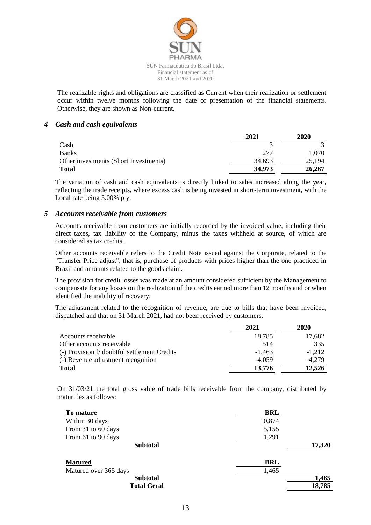

The realizable rights and obligations are classified as Current when their realization or settlement occur within twelve months following the date of presentation of the financial statements. Otherwise, they are shown as Non-current.

#### *4 Cash and cash equivalents*

|                                       | 2021   | 2020   |
|---------------------------------------|--------|--------|
| Cash                                  |        |        |
| <b>Banks</b>                          | 277    | 1.070  |
| Other investments (Short Investments) | 34,693 | 25,194 |
| <b>Total</b>                          | 34,973 | 26,267 |

The variation of cash and cash equivalents is directly linked to sales increased along the year, reflecting the trade receipts, where excess cash is being invested in short-term investment, with the Local rate being 5.00% p y.

#### *5 Accounts receivable from customers*

Accounts receivable from customers are initially recorded by the invoiced value, including their direct taxes, tax liability of the Company, minus the taxes withheld at source, of which are considered as tax credits.

Other accounts receivable refers to the Credit Note issued against the Corporate, related to the "Transfer Price adjust", that is, purchase of products with prices higher than the one practiced in Brazil and amounts related to the goods claim.

The provision for credit losses was made at an amount considered sufficient by the Management to compensate for any losses on the realization of the credits earned more than 12 months and or when identified the inability of recovery.

The adjustment related to the recognition of revenue, are due to bills that have been invoiced, dispatched and that on 31 March 2021, had not been received by customers.

|                                              | 2021     | 2020     |
|----------------------------------------------|----------|----------|
| Accounts receivable                          | 18,785   | 17,682   |
| Other accounts receivable                    | 514      | 335      |
| (-) Provision f/ doubtful settlement Credits | $-1.463$ | $-1.212$ |
| (-) Revenue adjustment recognition           | $-4.059$ | $-4.279$ |
| <b>Total</b>                                 | 13,776   | 12.526   |

On 31/03/21 the total gross value of trade bills receivable from the company, distributed by maturities as follows:

| To mature             | <b>BRL</b> |        |
|-----------------------|------------|--------|
| Within 30 days        | 10,874     |        |
| From 31 to 60 days    | 5,155      |        |
| From 61 to 90 days    | 1,291      |        |
| <b>Subtotal</b>       |            | 17,320 |
| <b>Matured</b>        | BRL        |        |
| Matured over 365 days | 1,465      |        |
| <b>Subtotal</b>       |            | 1,465  |
| <b>Total Geral</b>    |            | 18,785 |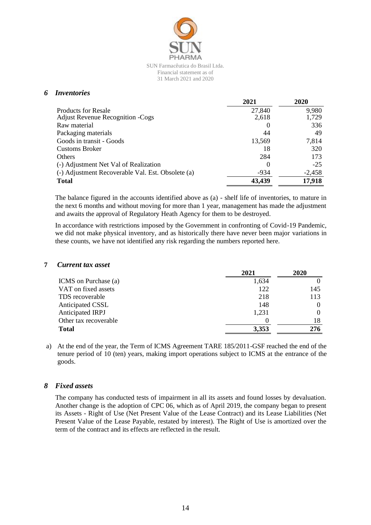

#### *6 Inventories*

|                                                   | 2021             | 2020     |
|---------------------------------------------------|------------------|----------|
| <b>Products for Resale</b>                        | 27,840           | 9,980    |
| <b>Adjust Revenue Recognition - Cogs</b>          | 2,618            | 1,729    |
| Raw material                                      | $\theta$         | 336      |
| Packaging materials                               | 44               | 49       |
| Goods in transit - Goods                          | 13,569           | 7,814    |
| <b>Customs Broker</b>                             | 18               | 320      |
| Others                                            | 284              | 173      |
| (-) Adjustment Net Val of Realization             | $\left( \right)$ | $-25$    |
| (-) Adjustment Recoverable Val. Est. Obsolete (a) | $-934$           | $-2,458$ |
| <b>Total</b>                                      | 43,439           | 17,918   |

The balance figured in the accounts identified above as (a) - shelf life of inventories, to mature in the next 6 months and without moving for more than 1 year, management has made the adjustment and awaits the approval of Regulatory Heath Agency for them to be destroyed.

In accordance with restrictions imposed by the Government in confronting of Covid-19 Pandemic, we did not make physical inventory, and as historically there have never been major variations in these counts, we have not identified any risk regarding the numbers reported here.

#### **7** *Current tax asset*

|                       | 2021  | 2020 |
|-----------------------|-------|------|
| ICMS on Purchase (a)  | 1,634 |      |
| VAT on fixed assets   | 122   | 145  |
| TDS recoverable       | 218   | 113  |
| Anticipated CSSL      | 148   |      |
| Anticipated IRPJ      | 1,231 |      |
| Other tax recoverable |       | 18   |
| <b>Total</b>          | 3,353 | 276  |

a) At the end of the year, the Term of ICMS Agreement TARE 185/2011-GSF reached the end of the tenure period of 10 (ten) years, making import operations subject to ICMS at the entrance of the goods.

#### *8 Fixed assets*

The company has conducted tests of impairment in all its assets and found losses by devaluation. Another change is the adoption of CPC 06, which as of April 2019, the company began to present its Assets - Right of Use (Net Present Value of the Lease Contract) and its Lease Liabilities (Net Present Value of the Lease Payable, restated by interest). The Right of Use is amortized over the term of the contract and its effects are reflected in the result.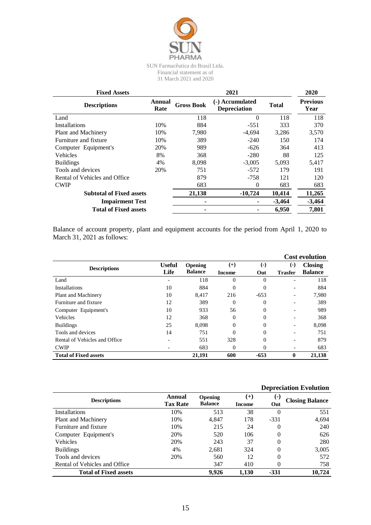

| <b>Fixed Assets</b>             |                |                   | 2021                                   |              | 2020                    |
|---------------------------------|----------------|-------------------|----------------------------------------|--------------|-------------------------|
| <b>Descriptions</b>             | Annual<br>Rate | <b>Gross Book</b> | (-) Accumulated<br><b>Depreciation</b> | <b>Total</b> | <b>Previous</b><br>Year |
| Land                            |                | 118               | $\Omega$                               | 118          | 118                     |
| Installations                   | 10%            | 884               | $-551$                                 | 333          | 370                     |
| Plant and Machinery             | 10%            | 7,980             | $-4.694$                               | 3,286        | 3,570                   |
| Furniture and fixture           | 10%            | 389               | $-240$                                 | 150          | 174                     |
| Computer Equipment's            | 20%            | 989               | $-626$                                 | 364          | 413                     |
| <b>Vehicles</b>                 | 8%             | 368               | $-280$                                 | 88           | 125                     |
| <b>Buildings</b>                | 4%             | 8,098             | $-3,005$                               | 5,093        | 5,417                   |
| Tools and devices               | 20%            | 751               | $-572$                                 | 179          | 191                     |
| Rental of Vehicles and Office   |                | 879               | $-758$                                 | 121          | 120                     |
| <b>CWIP</b>                     |                | 683               | $\Omega$                               | 683          | 683                     |
| <b>Subtotal of Fixed assets</b> |                | 21,138            | $-10,724$                              | 10,414       | 11,265                  |
| <b>Impairment Test</b>          |                |                   |                                        | $-3,464$     | $-3,464$                |
| <b>Total of Fixed assets</b>    |                |                   |                                        | 6,950        | 7,801                   |

Balance of account property, plant and equipment accounts for the period from April 1, 2020 to March 31, 2021 as follows:

|                               |               |                |               |                           |                | <b>Cost evolution</b> |
|-------------------------------|---------------|----------------|---------------|---------------------------|----------------|-----------------------|
| <b>Descriptions</b>           | <b>Useful</b> | <b>Opening</b> | $^{(+)}$      | $\left( \text{-} \right)$ | (-)            | <b>Closing</b>        |
|                               | Life          | <b>Balance</b> | <b>Income</b> | Out                       | <b>Trasfer</b> | <b>Balance</b>        |
| Land                          |               | 118            | $\Omega$      | $\Omega$                  |                | 118                   |
| <b>Installations</b>          | 10            | 884            | $\Omega$      | $\Omega$                  |                | 884                   |
| Plant and Machinery           | 10            | 8,417          | 216           | $-653$                    |                | 7,980                 |
| Furniture and fixture         | 12            | 389            | $\Omega$      | $\Omega$                  |                | 389                   |
| Computer Equipment's          | 10            | 933            | 56            | $\Omega$                  |                | 989                   |
| <b>Vehicles</b>               | 12            | 368            | $\Omega$      | $\overline{0}$            |                | 368                   |
| <b>Buildings</b>              | 25            | 8,098          | $\Omega$      | $\Omega$                  |                | 8,098                 |
| Tools and devices             | 14            | 751            | $\Omega$      | $\Omega$                  |                | 751                   |
| Rental of Vehicles and Office |               | 551            | 328           | $\Omega$                  |                | 879                   |
| <b>CWIP</b>                   |               | 683            | $\Omega$      | $\Omega$                  |                | 683                   |
| <b>Total of Fixed assets</b>  |               | 21,191         | 600           | $-653$                    | $\bf{0}$       | 21,138                |

#### **Depreciation Evolution**

| <b>Descriptions</b>           | Annual<br><b>Tax Rate</b> | <b>Opening</b><br><b>Balance</b> | $^{(+)}$<br><b>Income</b> | $(-)$<br>Out | <b>Closing Balance</b> |
|-------------------------------|---------------------------|----------------------------------|---------------------------|--------------|------------------------|
| Installations                 | 10%                       | 513                              | 38                        |              | 551                    |
| Plant and Machinery           | 10%                       | 4,847                            | 178                       | $-331$       | 4,694                  |
| Furniture and fixture         | 10%                       | 215                              | 24                        | 0            | 240                    |
| Computer Equipment's          | 20%                       | 520                              | 106                       |              | 626                    |
| Vehicles                      | 20%                       | 243                              | 37                        | $\Omega$     | 280                    |
| <b>Buildings</b>              | 4%                        | 2,681                            | 324                       | $\Omega$     | 3,005                  |
| Tools and devices             | 20%                       | 560                              | 12                        | 0            | 572                    |
| Rental of Vehicles and Office |                           | 347                              | 410                       |              | 758                    |
| <b>Total of Fixed assets</b>  |                           | 9,926                            | 1,130                     | -331         | 10.724                 |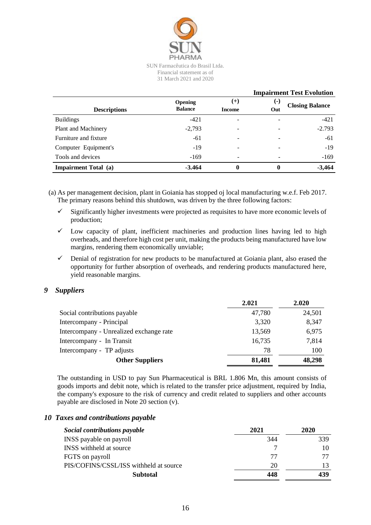

|                             |                                 |          |       | <b>Impairment Test Evolution</b> |
|-----------------------------|---------------------------------|----------|-------|----------------------------------|
|                             | <b>Opening</b>                  | $^{(+)}$ | $(-)$ | <b>Closing Balance</b>           |
| <b>Descriptions</b>         | <b>Balance</b><br><b>Income</b> |          | Out   |                                  |
| <b>Buildings</b>            | $-421$                          |          |       | $-421$                           |
| Plant and Machinery         | $-2,793$                        |          |       | $-2.793$                         |
| Furniture and fixture       | $-61$                           |          |       | -61                              |
| Computer Equipment's        | $-19$                           |          |       | $-19$                            |
| Tools and devices           | $-169$                          |          |       | $-169$                           |
| <b>Impairment Total (a)</b> | $-3.464$                        | 0        | 0     | $-3,464$                         |

(a) As per management decision, plant in Goiania has stopped oj local manufacturing w.e.f. Feb 2017. The primary reasons behind this shutdown, was driven by the three following factors:

- $\checkmark$  Significantly higher investments were projected as requisites to have more economic levels of production;
- $\checkmark$  Low capacity of plant, inefficient machineries and production lines having led to high overheads, and therefore high cost per unit, making the products being manufactured have low margins, rendering them economically unviable;
- $\checkmark$  Denial of registration for new products to be manufactured at Goiania plant, also erased the opportunity for further absorption of overheads, and rendering products manufactured here, yield reasonable margins.

#### *9 Suppliers*

|                                         | 2.021  | 2.020  |
|-----------------------------------------|--------|--------|
| Social contributions payable            | 47,780 | 24,501 |
| Intercompany - Principal                | 3,320  | 8,347  |
| Intercompany - Unrealized exchange rate | 13,569 | 6,975  |
| Intercompany - In Transit               | 16,735 | 7,814  |
| Intercompany - TP adjusts               | 78     | 100    |
| <b>Other Suppliers</b>                  | 81,481 | 48,298 |

The outstanding in USD to pay Sun Pharmaceutical is BRL 1.806 Mn, this amount consists of goods imports and debit note, which is related to the transfer price adjustment, required by India, the company's exposure to the risk of currency and credit related to suppliers and other accounts payable are disclosed in Note 20 section (v).

#### *10 Taxes and contributions payable*

| Social contributions payable           | 2021 | 2020 |
|----------------------------------------|------|------|
| INSS payable on payroll                | 344  | 339  |
| INSS withheld at source                |      | 10   |
| FGTS on payroll                        | 77   | 77   |
| PIS/COFINS/CSSL/ISS withheld at source | 20   |      |
| <b>Subtotal</b>                        | 448  | 439  |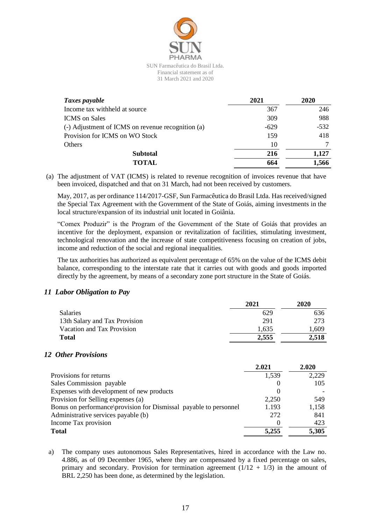

| Taxes payable                                     | 2021   | 2020   |
|---------------------------------------------------|--------|--------|
| Income tax withheld at source                     | 367    | 246    |
| <b>ICMS</b> on Sales                              | 309    | 988    |
| (-) Adjustment of ICMS on revenue recognition (a) | $-629$ | $-532$ |
| Provision for ICMS on WO Stock                    | 159    | 418    |
| Others                                            | 10     |        |
| <b>Subtotal</b>                                   | 216    | 1,127  |
| <b>TOTAL</b>                                      | 664    | 1,566  |

(a) The adjustment of VAT (ICMS) is related to revenue recognition of invoices revenue that have been invoiced, dispatched and that on 31 March, had not been received by customers.

May, 2017, as per ordinance 114/2017-GSF, Sun Farmacêutica do Brasil Ltda. Has received/signed the Special Tax Agreement with the Government of the State of Goiás, aiming investments in the local structure/expansion of its industrial unit located in Goiânia.

"Comex Produzir" is the Program of the Government of the State of Goiás that provides an incentive for the deployment, expansion or revitalization of facilities, stimulating investment, technological renovation and the increase of state competitiveness focusing on creation of jobs, income and reduction of the social and regional inequalities.

The tax authorities has authorized as equivalent percentage of 65% on the value of the ICMS debit balance, corresponding to the interstate rate that it carries out with goods and goods imported directly by the agreement, by means of a secondary zone port structure in the State of Goiás.

#### *11 Labor Obligation to Pay*

|                               | 2021  | 2020  |
|-------------------------------|-------|-------|
| <b>Salaries</b>               | 629   | 636   |
| 13th Salary and Tax Provision | 291   | 273   |
| Vacation and Tax Provision    | 1.635 | 1,609 |
| <b>Total</b>                  | 2.555 | 2.518 |

#### *12 Other Provisions*

|                                                                   | 2.021 | 2.020 |
|-------------------------------------------------------------------|-------|-------|
| Provisions for returns                                            | 1,539 | 2,229 |
| Sales Commission payable                                          |       | 105   |
| Expenses with development of new products                         |       |       |
| Provision for Selling expenses (a)                                | 2,250 | 549   |
| Bonus on performance provision for Dismissal payable to personnel | 1.193 | 1,158 |
| Administrative services payable (b)                               | 272   | 841   |
| Income Tax provision                                              |       | 423   |
| <b>Total</b>                                                      | 5,255 | 5,305 |

a) The company uses autonomous Sales Representatives, hired in accordance with the Law no. 4.886, as of 09 December 1965, where they are compensated by a fixed percentage on sales, primary and secondary. Provision for termination agreement  $(1/12 + 1/3)$  in the amount of BRL 2,250 has been done, as determined by the legislation.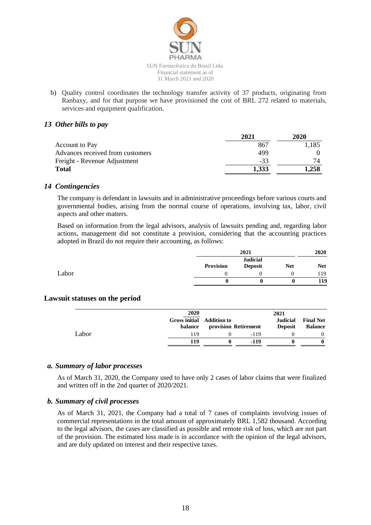

b) Quality control coordinates the technology transfer activity of 37 products, originating from Ranbaxy, and for that purpose we have provisioned the cost of BRL 272 related to materials, services and equipment qualification.

#### *13 Other bills to pay*

| 2021  | 2020  |
|-------|-------|
| 867   | 1.185 |
| 499   |       |
| $-33$ | 74    |
| 1,333 | 1,258 |
|       |       |

#### *14 Contingencies*

The company is defendant in lawsuits and in administrative proceedings before various courts and governmental bodies, arising from the normal course of operations, involving tax, labor, civil aspects and other matters.

Based on information from the legal advisors, analysis of lawsuits pending and, regarding labor actions, management did not constitute a provision, considering that the accounting practices adopted in Brazil do not require their accounting, as follows:

|       |           | 2021                              |            | 2020       |
|-------|-----------|-----------------------------------|------------|------------|
|       | Provision | <b>Judicial</b><br><b>Deposit</b> | <b>Net</b> | <b>Net</b> |
| Labor |           |                                   |            | 119        |
|       |           |                                   |            | 119        |

#### **Lawsuit statuses on the period**

|       | 2020<br>Gross initial Addition to<br>balance | provision Retirement | 2021<br><b>Judicial</b><br><b>Deposit</b> | <b>Final Net</b><br><b>Balance</b> |
|-------|----------------------------------------------|----------------------|-------------------------------------------|------------------------------------|
| Labor | 119                                          | -119                 |                                           | $\theta$                           |
|       | 119                                          | -119                 |                                           |                                    |

#### *a. Summary of labor processes*

As of March 31, 2020, the Company used to have only 2 cases of labor claims that were finalized and written off in the 2nd quarter of 2020/2021.

#### *b. Summary of civil processes*

As of March 31, 2021, the Company had a total of 7 cases of complaints involving issues of commercial representations in the total amount of approximately BRL 1,582 thousand. According to the legal advisors, the cases are classified as possible and remote risk of loss, which are not part of the provision. The estimated loss made is in accordance with the opinion of the legal advisors, and are duly updated on interest and their respective taxes.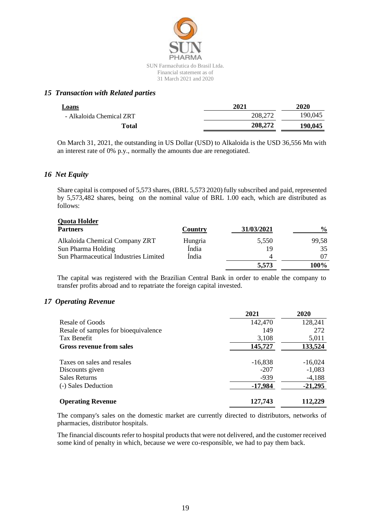

#### *15 Transaction with Related parties*

| 2021    | 2020    |
|---------|---------|
| 208,272 | 190,045 |
| 208,272 | 190,045 |
|         |         |

On March 31, 2021, the outstanding in US Dollar (USD) to Alkaloida is the USD 36,556 Mn with an interest rate of 0% p.y., normally the amounts due are renegotiated.

#### *16 Net Equity*

Share capital is composed of 5,573 shares, (BRL 5,573 2020) fully subscribed and paid, represented by 5,573,482 shares, being on the nominal value of BRL 1.00 each, which are distributed as follows:

# **Quota Holder**

| <b>Partners</b>                              | Country | 31/03/2021 | $\frac{0}{0}$ |
|----------------------------------------------|---------|------------|---------------|
| Alkaloida Chemical Company ZRT               | Hungria | 5.550      | 99,58         |
| Sun Pharma Holding                           | Índia   | 19         | 35            |
| <b>Sun Pharmaceutical Industries Limited</b> | India   |            |               |
|                                              |         | 5,573      | 100%          |

The capital was registered with the Brazilian Central Bank in order to enable the company to transfer profits abroad and to repatriate the foreign capital invested.

#### *17 Operating Revenue*

|                                      | 2021      | 2020      |
|--------------------------------------|-----------|-----------|
| <b>Resale of Goods</b>               | 142,470   | 128,241   |
| Resale of samples for bioequivalence | 149       | 272       |
| Tax Benefit                          | 3,108     | 5,011     |
| <b>Gross revenue from sales</b>      | 145,727   | 133,524   |
| Taxes on sales and resales           | $-16,838$ | $-16,024$ |
| Discounts given                      | $-207$    | $-1,083$  |
| <b>Sales Returns</b>                 | $-939$    | $-4,188$  |
| (-) Sales Deduction                  | -17,984   | $-21,295$ |
| <b>Operating Revenue</b>             | 127,743   | 112.229   |

The company's sales on the domestic market are currently directed to distributors, networks of pharmacies, distributor hospitals.

The financial discounts refer to hospital products that were not delivered, and the customer received some kind of penalty in which, because we were co-responsible, we had to pay them back.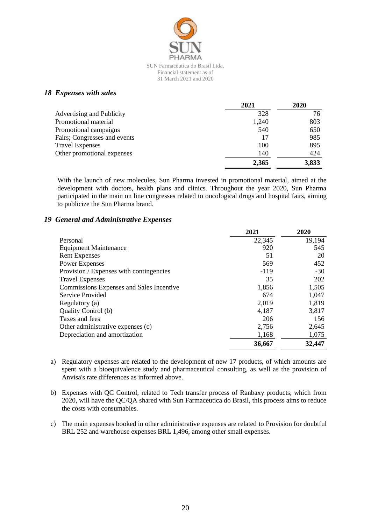

#### Financial statement as of 31 March 2021 and 2020

#### *18 Expenses with sales*

|                              | 2021  | 2020  |
|------------------------------|-------|-------|
| Advertising and Publicity    | 328   | 76    |
| Promotional material         | 1,240 | 803   |
| Promotional campaigns        | 540   | 650   |
| Fairs; Congresses and events | 17    | 985   |
| <b>Travel Expenses</b>       | 100   | 895   |
| Other promotional expenses   | 140   | 424   |
|                              | 2,365 | 3,833 |

With the launch of new molecules, Sun Pharma invested in promotional material, aimed at the development with doctors, health plans and clinics. Throughout the year 2020, Sun Pharma participated in the main on line congresses related to oncological drugs and hospital fairs, aiming to publicize the Sun Pharma brand.

#### *19 General and Administrative Expenses*

|                                          | 2021   | 2020   |
|------------------------------------------|--------|--------|
| Personal                                 | 22,345 | 19,194 |
| <b>Equipment Maintenance</b>             | 920    | 545    |
| <b>Rent Expenses</b>                     | 51     | 20     |
| <b>Power Expenses</b>                    | 569    | 452    |
| Provision / Expenses with contingencies  | $-119$ | $-30$  |
| <b>Travel Expenses</b>                   | 35     | 202    |
| Commissions Expenses and Sales Incentive | 1,856  | 1,505  |
| Service Provided                         | 674    | 1,047  |
| Regulatory (a)                           | 2,019  | 1,819  |
| Quality Control (b)                      | 4,187  | 3,817  |
| Taxes and fees                           | 206    | 156    |
| Other administrative expenses (c)        | 2,756  | 2,645  |
| Depreciation and amortization            | 1,168  | 1,075  |
|                                          | 36,667 | 32,447 |

a) Regulatory expenses are related to the development of new 17 products, of which amounts are spent with a bioequivalence study and pharmaceutical consulting, as well as the provision of Anvisa's rate differences as informed above.

- b) Expenses with QC Control, related to Tech transfer process of Ranbaxy products, which from 2020, will have the QC/QA shared with Sun Farmaceutica do Brasil, this process aims to reduce the costs with consumables.
- c) The main expenses booked in other administrative expenses are related to Provision for doubtful BRL 252 and warehouse expenses BRL 1,496, among other small expenses.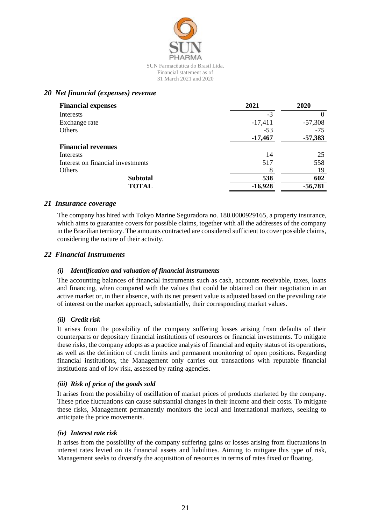

#### *20 Net financial (expenses) revenue*

| <b>Financial expenses</b>         | 2021      | 2020      |
|-----------------------------------|-----------|-----------|
| Interests                         | $-3$      |           |
| Exchange rate                     | $-17,411$ | $-57,308$ |
| Others                            | $-53$     | $-75$     |
|                                   | $-17,467$ | $-57,383$ |
| <b>Financial revenues</b>         |           |           |
| Interests                         | 14        | 25        |
| Interest on financial investments | 517       | 558       |
| Others                            | 8         | 19        |
| <b>Subtotal</b>                   | 538       | 602       |
| <b>TOTAL</b>                      | $-16,928$ | $-56,781$ |

#### *21 Insurance coverage*

The company has hired with Tokyo Marine Seguradora no. 180.0000929165, a property insurance, which aims to guarantee covers for possible claims, together with all the addresses of the company in the Brazilian territory. The amounts contracted are considered sufficient to cover possible claims, considering the nature of their activity.

#### *22 Financial Instruments*

#### *(i) Identification and valuation of financial instruments*

The accounting balances of financial instruments such as cash, accounts receivable, taxes, loans and financing, when compared with the values that could be obtained on their negotiation in an active market or, in their absence, with its net present value is adjusted based on the prevailing rate of interest on the market approach, substantially, their corresponding market values.

#### *(ii) Credit risk*

It arises from the possibility of the company suffering losses arising from defaults of their counterparts or depositary financial institutions of resources or financial investments. To mitigate these risks, the company adopts as a practice analysis of financial and equity status of its operations, as well as the definition of credit limits and permanent monitoring of open positions. Regarding financial institutions, the Management only carries out transactions with reputable financial institutions and of low risk, assessed by rating agencies.

#### *(iii) Risk of price of the goods sold*

It arises from the possibility of oscillation of market prices of products marketed by the company. These price fluctuations can cause substantial changes in their income and their costs. To mitigate these risks, Management permanently monitors the local and international markets, seeking to anticipate the price movements.

#### *(iv) Interest rate risk*

It arises from the possibility of the company suffering gains or losses arising from fluctuations in interest rates levied on its financial assets and liabilities. Aiming to mitigate this type of risk, Management seeks to diversify the acquisition of resources in terms of rates fixed or floating.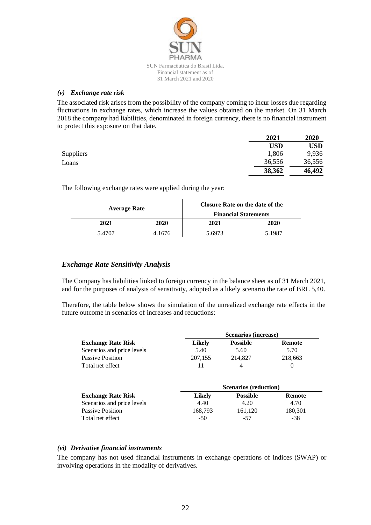

#### *(v) Exchange rate risk*

The associated risk arises from the possibility of the company coming to incur losses due regarding fluctuations in exchange rates, which increase the values obtained on the market. On 31 March 2018 the company had liabilities, denominated in foreign currency, there is no financial instrument to protect this exposure on that date.

|                  | 2021       | 2020   |
|------------------|------------|--------|
|                  | <b>USD</b> | USD    |
| <b>Suppliers</b> | 1,806      | 9,936  |
| Loans            | 36,556     | 36,556 |
|                  | 38,362     | 46,492 |

The following exchange rates were applied during the year:

| <b>Average Rate</b> |        | <b>Closure Rate on the date of the</b><br><b>Financial Statements</b> |        |
|---------------------|--------|-----------------------------------------------------------------------|--------|
| 2021                | 2020   | 2021                                                                  | 2020   |
| 5.4707              | 4.1676 | 5.6973                                                                | 5.1987 |

#### *Exchange Rate Sensitivity Analysis*

The Company has liabilities linked to foreign currency in the balance sheet as of 31 March 2021, and for the purposes of analysis of sensitivity, adopted as a likely scenario the rate of BRL 5,40.

Therefore, the table below shows the simulation of the unrealized exchange rate effects in the future outcome in scenarios of increases and reductions:

|                            |               | <b>Scenarios (increase)</b>  |               |  |
|----------------------------|---------------|------------------------------|---------------|--|
| <b>Exchange Rate Risk</b>  | <b>Likely</b> | <b>Possible</b>              | <b>Remote</b> |  |
| Scenarios and price levels | 5.40          | 5.60                         | 5.70          |  |
| <b>Passive Position</b>    | 207,155       | 214,827                      | 218,663       |  |
| Total net effect           | 11            | 4                            | $\theta$      |  |
|                            |               | <b>Scenarios (reduction)</b> |               |  |
| <b>Exchange Rate Risk</b>  | <b>Likely</b> | <b>Possible</b>              | Remote        |  |
| Scenarios and price levels | 4.40          | 4.20                         | 4.70          |  |
| <b>Passive Position</b>    | 168,793       | 161,120                      | 180,301       |  |
| Total net effect           | $-50$         | -57                          | $-38$         |  |

#### *(vi) Derivative financial instruments*

The company has not used financial instruments in exchange operations of indices (SWAP) or involving operations in the modality of derivatives.